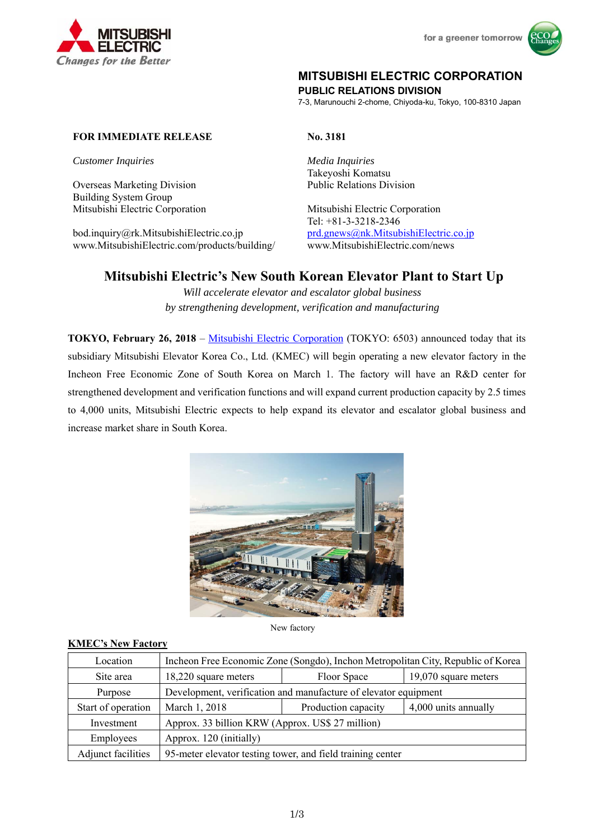



# **MITSUBISHI ELECTRIC CORPORATION**

**PUBLIC RELATIONS DIVISION** 

7-3, Marunouchi 2-chome, Chiyoda-ku, Tokyo, 100-8310 Japan

#### **FOR IMMEDIATE RELEASE No. 3181**

*Customer Inquiries Media Inquiries* 

Overseas Marketing Division Public Relations Division Building System Group Mitsubishi Electric Corporation Mitsubishi Electric Corporation

bod.inquiry@rk.MitsubishiElectric.co.jp prd.gnews@nk.MitsubishiElectric.co.jp www.MitsubishiElectric.com/products/building/ www.MitsubishiElectric.com/news

Takeyoshi Komatsu

Tel: +81-3-3218-2346

# **Mitsubishi Electric's New South Korean Elevator Plant to Start Up**

*Will accelerate elevator and escalator global business by strengthening development, verification and manufacturing* 

**TOKYO, February 26, 2018** – Mitsubishi Electric Corporation (TOKYO: 6503) announced today that its subsidiary Mitsubishi Elevator Korea Co., Ltd. (KMEC) will begin operating a new elevator factory in the Incheon Free Economic Zone of South Korea on March 1. The factory will have an R&D center for strengthened development and verification functions and will expand current production capacity by 2.5 times to 4,000 units, Mitsubishi Electric expects to help expand its elevator and escalator global business and increase market share in South Korea.



New factory

#### **KMEC's New Factory**

| Location           | Incheon Free Economic Zone (Songdo), Inchon Metropolitan City, Republic of Korea |                     |                      |
|--------------------|----------------------------------------------------------------------------------|---------------------|----------------------|
| Site area          | 18,220 square meters                                                             | Floor Space         | 19,070 square meters |
| Purpose            | Development, verification and manufacture of elevator equipment                  |                     |                      |
| Start of operation | March 1, 2018                                                                    | Production capacity | 4,000 units annually |
| Investment         | Approx. 33 billion KRW (Approx. US\$ 27 million)                                 |                     |                      |
| Employees          | Approx. 120 (initially)                                                          |                     |                      |
| Adjunct facilities | 95-meter elevator testing tower, and field training center                       |                     |                      |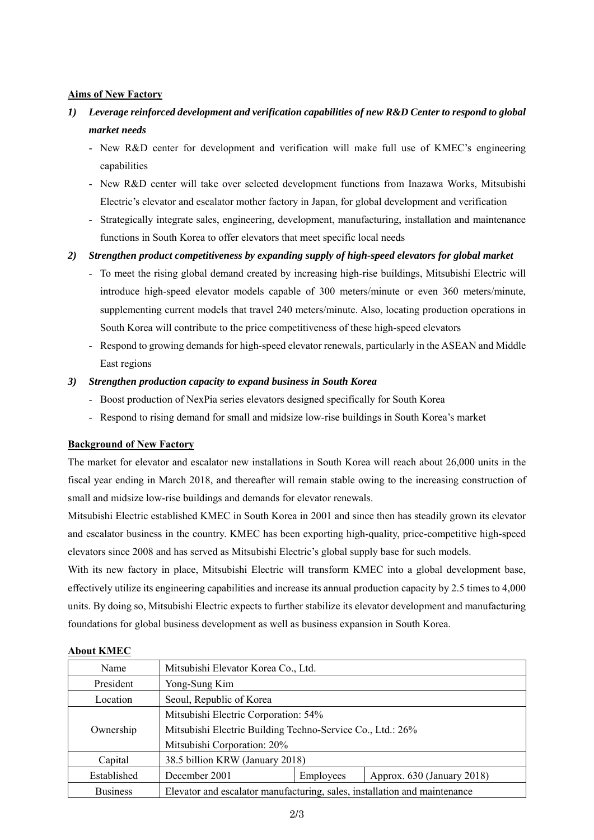### **Aims of New Factory**

- *1) Leverage reinforced development and verification capabilities of new R&D Center to respond to global market needs* 
	- New R&D center for development and verification will make full use of KMEC's engineering capabilities
	- New R&D center will take over selected development functions from Inazawa Works, Mitsubishi Electric's elevator and escalator mother factory in Japan, for global development and verification
	- Strategically integrate sales, engineering, development, manufacturing, installation and maintenance functions in South Korea to offer elevators that meet specific local needs

## *2) Strengthen product competitiveness by expanding supply of high-speed elevators for global market*

- To meet the rising global demand created by increasing high-rise buildings, Mitsubishi Electric will introduce high-speed elevator models capable of 300 meters/minute or even 360 meters/minute, supplementing current models that travel 240 meters/minute. Also, locating production operations in South Korea will contribute to the price competitiveness of these high-speed elevators
- Respond to growing demands for high-speed elevator renewals, particularly in the ASEAN and Middle East regions

### *3) Strengthen production capacity to expand business in South Korea*

- Boost production of NexPia series elevators designed specifically for South Korea
- Respond to rising demand for small and midsize low-rise buildings in South Korea's market

#### **Background of New Factory**

The market for elevator and escalator new installations in South Korea will reach about 26,000 units in the fiscal year ending in March 2018, and thereafter will remain stable owing to the increasing construction of small and midsize low-rise buildings and demands for elevator renewals.

Mitsubishi Electric established KMEC in South Korea in 2001 and since then has steadily grown its elevator and escalator business in the country. KMEC has been exporting high-quality, price-competitive high-speed elevators since 2008 and has served as Mitsubishi Electric's global supply base for such models.

With its new factory in place, Mitsubishi Electric will transform KMEC into a global development base, effectively utilize its engineering capabilities and increase its annual production capacity by 2.5 times to 4,000 units. By doing so, Mitsubishi Electric expects to further stabilize its elevator development and manufacturing foundations for global business development as well as business expansion in South Korea.

| Name            | Mitsubishi Elevator Korea Co., Ltd.                                       |           |                            |  |
|-----------------|---------------------------------------------------------------------------|-----------|----------------------------|--|
| President       | Yong-Sung Kim                                                             |           |                            |  |
| Location        | Seoul, Republic of Korea                                                  |           |                            |  |
|                 | Mitsubishi Electric Corporation: 54%                                      |           |                            |  |
| Ownership       | Mitsubishi Electric Building Techno-Service Co., Ltd.: 26%                |           |                            |  |
|                 | Mitsubishi Corporation: 20%                                               |           |                            |  |
| Capital         | 38.5 billion KRW (January 2018)                                           |           |                            |  |
| Established     | December 2001                                                             | Employees | Approx. 630 (January 2018) |  |
| <b>Business</b> | Elevator and escalator manufacturing, sales, installation and maintenance |           |                            |  |

#### **About KMEC**